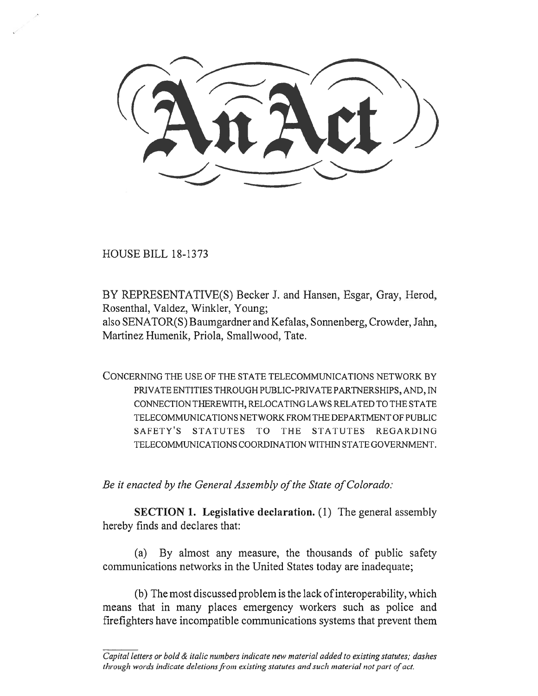HOUSE BILL 18-1373

BY REPRESENTATIVE(S) Becker J. and Hansen, Esgar, Gray, Herod, Rosenthal, Valdez, Winkler, Young;

also SENATOR(S) Baumgardner and Kefalas, Sonnenberg, Crowder, Jahn, Martinez Humenik, Priola, Smallwood, Tate.

CONCERNING THE USE OF THE STATE TELECOMMUNICATIONS NETWORK BY PRIVATE ENTITIES THROUGH PUBLIC-PRIVATE PARTNERSHIPS, AND, IN CONNECTION THEREWITH, RELOCATING LAWS RELATED TO THE STATE TELECOMMUNICATIONS NETWORK FROM THE DEPARTMENT OF PUBLIC SAFETY'S STATUTES TO THE STATUTES REGARDING TELECOMMUNICATIONS COORDINATION WITHIN STATE GOVERNMENT.

*Be it enacted by the General Assembly of the State of Colorado:* 

**SECTION 1. Legislative declaration.** (1) The general assembly hereby finds and declares that:

(a) By almost any measure, the thousands of public safety communications networks in the United States today are inadequate;

(b) The most discussed problem is the lack of interoperability, which means that in many places emergency workers such as police and firefighters have incompatible communications systems that prevent them

*Capital letters or bold & italic numbers indicate new material added to existing statutes; dashes through words indicate deletions from existing statutes and such material not part of act.*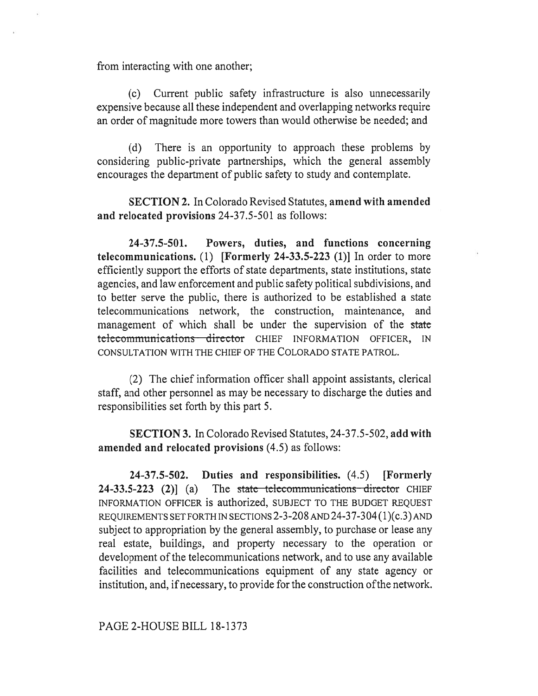from interacting with one another;

(c) Current public safety infrastructure is also unnecessarily expensive because all these independent and overlapping networks require an order of magnitude more towers than would otherwise be needed; and

(d) There is an opportunity to approach these problems by considering public-private partnerships, which the general assembly encourages the department of public safety to study and contemplate.

**SECTION 2.** In Colorado Revised Statutes, **amend with amended and relocated provisions** 24-37.5-501 as follows:

**24-37.5-501. Powers, duties, and functions concerning telecommunications.** (1) **[Formerly 24-33.5-223 (1)]** In order to more efficiently support the efforts of state departments, state institutions, state agencies, and law enforcement and public safety political subdivisions, and to better serve the public, there is authorized to be established a state telecommunications network, the construction, maintenance, and management of which shall be under the supervision of the state telecommunications director CHIEF INFORMATION OFFICER, IN CONSULTATION WITH THE CHIEF OF THE COLORADO STATE PATROL.

(2) The chief information officer shall appoint assistants, clerical staff, and other personnel as may be necessary to discharge the duties and responsibilities set forth by this part 5.

**SECTION 3.** In Colorado Revised Statutes, 24-37.5-502, **add with amended and relocated provisions** (4.5) as follows:

**24-37.5-502. Duties and responsibilities.** (4.5) **[Formerly 24-33.5-223** (2)] (a) The state telecommunications director CHIEF INFORMATION OFFICER is authorized, SUBJECT TO THE BUDGET REQUEST REQUIREMENTS SET FORTH IN SECTIONS 2-3-208 AND 24-37-304 (1)(c.3) AND subject to appropriation by the general assembly, to purchase or lease any real estate, buildings, and property necessary to the operation or development of the telecommunications network, and to use any available facilities and telecommunications equipment of any state agency or institution, and, if necessary, to provide for the construction of the network.

PAGE 2-HOUSE BILL 18-1373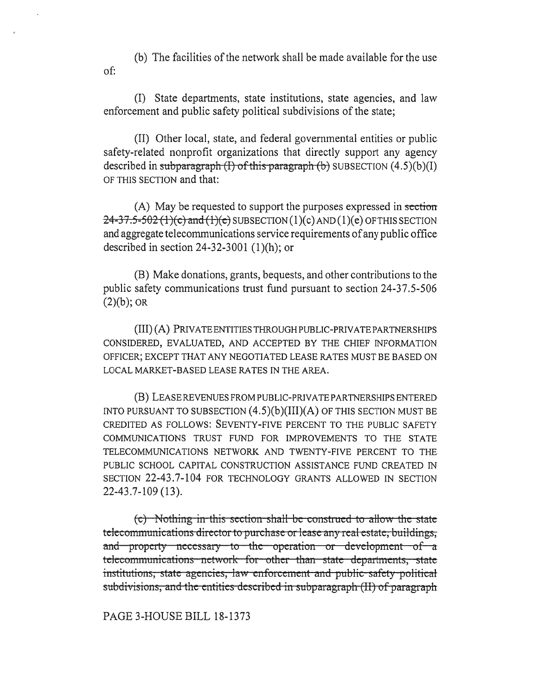(b) The facilities of the network shall be made available for the use of:

(I) State departments, state institutions, state agencies, and law enforcement and public safety political subdivisions of the state;

(II) Other local, state, and federal governmental entities or public safety-related nonprofit organizations that directly support any agency described in subparagraph  $(I)$  of this paragraph  $(b)$  SUBSECTION  $(4.5)(b)(I)$ OF THIS SECTION and that:

(A) May be requested to support the purposes expressed in section  $24 - 37.5 - 502$  (1)(c) and (1)(e) SUBSECTION (1)(c) AND (1)(e) OF THIS SECTION and aggregate telecommunications service requirements of any public office described in section 24-32-3001 (1)(h); or

(B) Make donations, grants, bequests, and other contributions to the public safety communications trust fund pursuant to section 24-37.5-506  $(2)(b)$ ; OR

(III) (A) PRIVATE ENTITIES THROUGH PUBLIC-PRIVATE PARTNERSHIPS CONSIDERED, EVALUATED, AND ACCEPTED BY THE CHIEF INFORMATION OFFICER; EXCEPT THAT ANY NEGOTIATED LEASE RATES MUST BE BASED ON LOCAL MARKET-BASED LEASE RATES IN THE AREA.

(B) LEASE REVENUES FROM PUBLIC-PRIVATE PARTNERSHIPS ENTERED INTO PURSUANT TO SUBSECTION  $(4.5)(b)(III)(A)$  OF THIS SECTION MUST BE CREDITED AS FOLLOWS: SEVENTY-FIVE PERCENT TO THE PUBLIC SAFETY COMMUNICATIONS TRUST FUND FOR IMPROVEMENTS TO THE STATE TELECOMMUNICATIONS NETWORK AND TWENTY-FIVE PERCENT TO THE PUBLIC SCHOOL CAPITAL CONSTRUCTION ASSISTANCE FUND CREATED IN SECTION 22-43.7-104 FOR TECHNOLOGY GRANTS ALLOWED IN SECTION 22-43.7-109 (13).

 $(c)$  Nothing in this section shall be construed to allow the state telecommunications director to purchase or lease any real estate, buildings, and property necessary to the operation or development of a teleconumunications -network for other than state departments, state institutions, state agencies, law enforcement and public safety political subdivisions, and the entities described in subparagraph (II) of paragraph

PAGE 3-HOUSE BILL 18-1373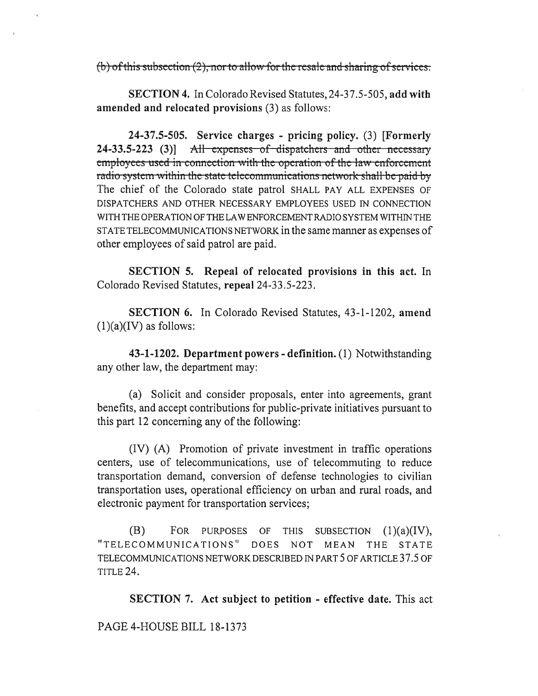$(b)$  of this subsection  $(2)$ , nor to allow for the resale and sharing of services.

**SECTION 4.** In Colorado Revised Statutes, 24-37.5-505, add with amended and relocated provisions (3) as follows:

24-37.5-505. Service charges - pricing policy. (3) [Formerly 24-33.5-223 (3)] All expenses of dispatchers and other necessary employees used in connection with the operation of the law enforcement radio system within the state telecommunications network shall be paid by The chief of the Colorado state patrol SHALL PAY ALL EXPENSES OF DISPATCHERS AND OTHER NECESSARY EMPLOYEES USED IN CONNECTION WITH THE OPERATION OF THE LAW ENFORCEMENT RADIO SYSTEM WITHIN THE STATE TELECOMMUNICATIONS NETWORK in the same manner as expenses of other employees of said patrol are paid.

**SECTION 5.** Repeal of relocated provisions in this act. In Colorado Revised Statutes, repeal 24-33.5-223.

**SECTION 6.** In Colorado Revised Statutes, 43-1-1202, amend  $(1)(a)(IV)$  as follows:

43-1-1202. Department powers - definition. (1) Notwithstanding any other law, the department may:

(a) Solicit and consider proposals, enter into agreements, grant benefits, and accept contributions for public-private initiatives pursuant to this part 12 concerning any of the following:

(IV) (A) Promotion of private investment in traffic operations centers, use of telecommunications, use of telecommuting to reduce transportation demand, conversion of defense technologies to civilian transportation uses, operational efficiency on urban and rural roads, and electronic payment for transportation services;

(B) FOR PURPOSES OF THIS SUBSECTION  $(1)(a)(IV),$ "TELECOMMUNICATIONS" DOES NOT MEAN THE STATE TELECOMMUNICATIONS NETWORK DESCRIBED IN PART 5 OF ARTICLE 37.5 OF TITLE 24.

**SECTION 7.** Act subject to petition - effective date. This act

PAGE 4-HOUSE BILL 18-1373